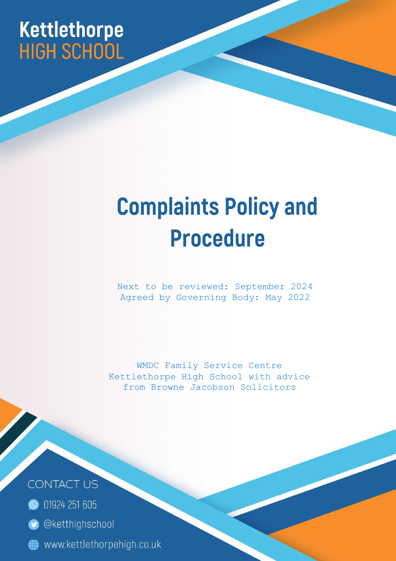## Kettlethorpe **HIGH SCHOOL**

# **Complaints Policy and Procedure**

Next to be reviewed: September 2024 Agreed by Governing Body: May 2022

WMDC Family Service Centre Kettlethorpe High School with advice from Browne Jacobson Solicitors

**CONTACT US** 

- **O** 01924 251 605
- **O** @ketthighschool MEDANDCONCILSERVANEWAPPTOPCOMPSABOUTSCHOOLSJECS,1
-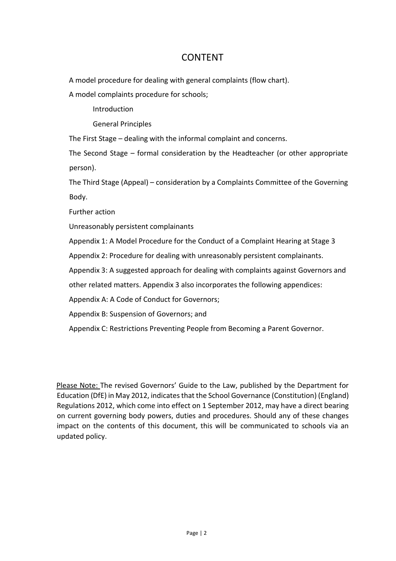## CONTENT

A model procedure for dealing with general complaints (flow chart).

A model complaints procedure for schools;

Introduction

General Principles

The First Stage – dealing with the informal complaint and concerns.

The Second Stage – formal consideration by the Headteacher (or other appropriate person).

The Third Stage (Appeal) – consideration by a Complaints Committee of the Governing Body.

Further action

Unreasonably persistent complainants

Appendix 1: A Model Procedure for the Conduct of a Complaint Hearing at Stage 3

Appendix 2: Procedure for dealing with unreasonably persistent complainants.

Appendix 3: A suggested approach for dealing with complaints against Governors and

other related matters. Appendix 3 also incorporates the following appendices:

Appendix A: A Code of Conduct for Governors;

Appendix B: Suspension of Governors; and

Appendix C: Restrictions Preventing People from Becoming a Parent Governor.

Please Note: The revised Governors' Guide to the Law, published by the Department for Education (DfE) in May 2012, indicates that the School Governance (Constitution) (England) Regulations 2012, which come into effect on 1 September 2012, may have a direct bearing on current governing body powers, duties and procedures. Should any of these changes impact on the contents of this document, this will be communicated to schools via an updated policy.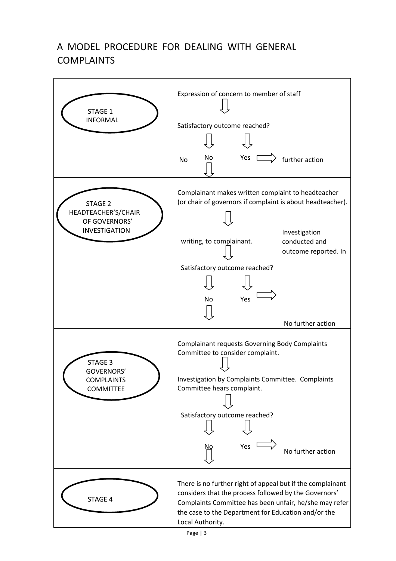## A MODEL PROCEDURE FOR DEALING WITH GENERAL COMPLAINTS

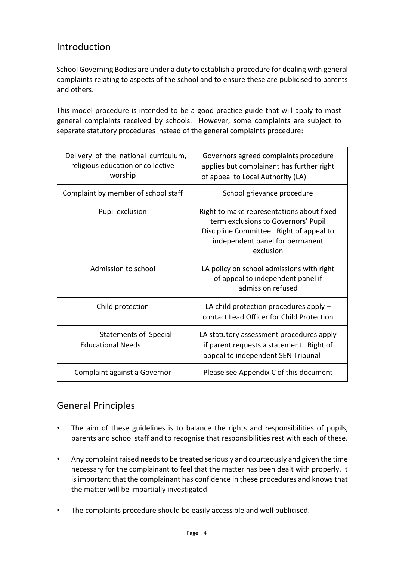## Introduction

School Governing Bodies are under a duty to establish a procedure for dealing with general complaints relating to aspects of the school and to ensure these are publicised to parents and others.

This model procedure is intended to be a good practice guide that will apply to most general complaints received by schools. However, some complaints are subject to separate statutory procedures instead of the general complaints procedure:

| Delivery of the national curriculum,<br>religious education or collective<br>worship | Governors agreed complaints procedure<br>applies but complainant has further right<br>of appeal to Local Authority (LA)                                                      |
|--------------------------------------------------------------------------------------|------------------------------------------------------------------------------------------------------------------------------------------------------------------------------|
| Complaint by member of school staff                                                  | School grievance procedure                                                                                                                                                   |
| Pupil exclusion                                                                      | Right to make representations about fixed<br>term exclusions to Governors' Pupil<br>Discipline Committee. Right of appeal to<br>independent panel for permanent<br>exclusion |
| Admission to school                                                                  | LA policy on school admissions with right<br>of appeal to independent panel if<br>admission refused                                                                          |
| Child protection                                                                     | LA child protection procedures apply -<br>contact Lead Officer for Child Protection                                                                                          |
| Statements of Special<br><b>Educational Needs</b>                                    | LA statutory assessment procedures apply<br>if parent requests a statement. Right of<br>appeal to independent SEN Tribunal                                                   |
| Complaint against a Governor                                                         | Please see Appendix C of this document                                                                                                                                       |

## General Principles

- The aim of these guidelines is to balance the rights and responsibilities of pupils, parents and school staff and to recognise that responsibilities rest with each of these.
- Any complaint raised needs to be treated seriously and courteously and given the time necessary for the complainant to feel that the matter has been dealt with properly. It is important that the complainant has confidence in these procedures and knows that the matter will be impartially investigated.
- The complaints procedure should be easily accessible and well publicised.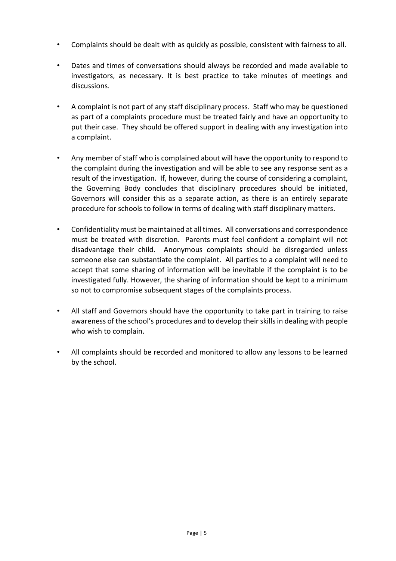- Complaints should be dealt with as quickly as possible, consistent with fairness to all.
- Dates and times of conversations should always be recorded and made available to investigators, as necessary. It is best practice to take minutes of meetings and discussions.
- A complaint is not part of any staff disciplinary process. Staff who may be questioned as part of a complaints procedure must be treated fairly and have an opportunity to put their case. They should be offered support in dealing with any investigation into a complaint.
- Any member of staff who is complained about will have the opportunity to respond to the complaint during the investigation and will be able to see any response sent as a result of the investigation. If, however, during the course of considering a complaint, the Governing Body concludes that disciplinary procedures should be initiated, Governors will consider this as a separate action, as there is an entirely separate procedure for schools to follow in terms of dealing with staff disciplinary matters.
- Confidentiality must be maintained at all times. All conversations and correspondence must be treated with discretion. Parents must feel confident a complaint will not disadvantage their child. Anonymous complaints should be disregarded unless someone else can substantiate the complaint. All parties to a complaint will need to accept that some sharing of information will be inevitable if the complaint is to be investigated fully. However, the sharing of information should be kept to a minimum so not to compromise subsequent stages of the complaints process.
- All staff and Governors should have the opportunity to take part in training to raise awareness of the school's procedures and to develop their skills in dealing with people who wish to complain.
- All complaints should be recorded and monitored to allow any lessons to be learned by the school.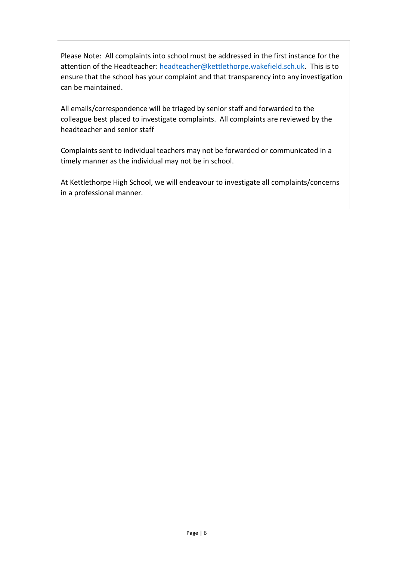Please Note: All complaints into school must be addressed in the first instance for the attention of the Headteacher: [headteacher@kettlethorpe.wakefield.sch.uk.](mailto:headteacher@kettlethorpe.wakefield.sch.uk) This is to ensure that the school has your complaint and that transparency into any investigation can be maintained.

All emails/correspondence will be triaged by senior staff and forwarded to the colleague best placed to investigate complaints. All complaints are reviewed by the headteacher and senior staff

Complaints sent to individual teachers may not be forwarded or communicated in a timely manner as the individual may not be in school.

At Kettlethorpe High School, we will endeavour to investigate all complaints/concerns in a professional manner.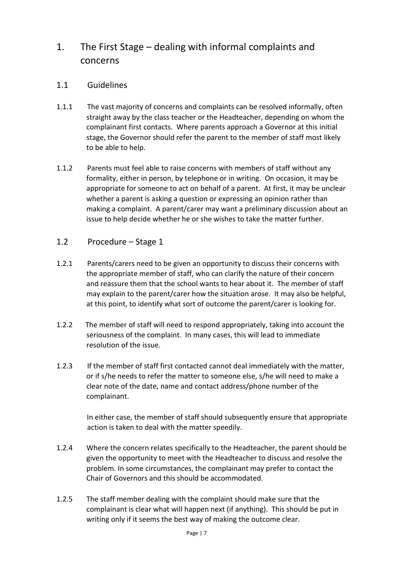## 1. The First Stage – dealing with informal complaints and concerns

#### 1.1 Guidelines

- 1.1.1 The vast majority of concerns and complaints can be resolved informally, often straight away by the class teacher or the Headteacher, depending on whom the complainant first contacts. Where parents approach a Governor at this initial stage, the Governor should refer the parent to the member of staff most likely to be able to help.
- 1.1.2 Parents must feel able to raise concerns with members of staff without any formality, either in person, by telephone or in writing. On occasion, it may be appropriate for someone to act on behalf of a parent. At first, it may be unclear whether a parent is asking a question or expressing an opinion rather than making a complaint. A parent/carer may want a preliminary discussion about an issue to help decide whether he or she wishes to take the matter further.
- 1.2 Procedure Stage 1
- 1.2.1 Parents/carers need to be given an opportunity to discuss their concerns with the appropriate member of staff, who can clarify the nature of their concern and reassure them that the school wants to hear about it. The member of staff may explain to the parent/carer how the situation arose. It may also be helpful, at this point, to identify what sort of outcome the parent/carer is looking for.
- 1.2.2 The member of staff will need to respond appropriately, taking into account the seriousness of the complaint. In many cases, this will lead to immediate resolution of the issue.
- 1.2.3 If the member of staff first contacted cannot deal immediately with the matter, or if s/he needs to refer the matter to someone else, s/he will need to make a clear note of the date, name and contact address/phone number of the complainant.

In either case, the member of staff should subsequently ensure that appropriate action is taken to deal with the matter speedily.

- 1.2.4 Where the concern relates specifically to the Headteacher, the parent should be given the opportunity to meet with the Headteacher to discuss and resolve the problem. In some circumstances, the complainant may prefer to contact the Chair of Governors and this should be accommodated.
- 1.2.5 The staff member dealing with the complaint should make sure that the complainant is clear what will happen next (if anything). This should be put in writing only if it seems the best way of making the outcome clear.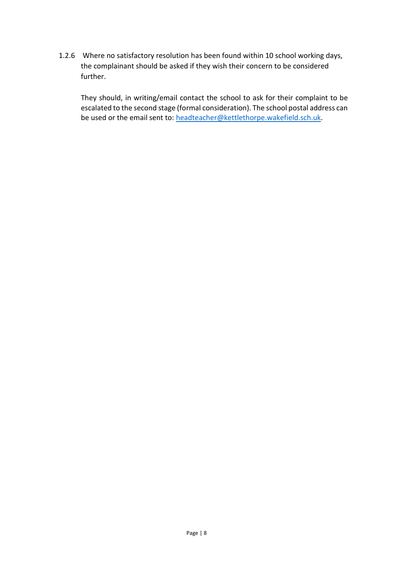1.2.6 Where no satisfactory resolution has been found within 10 school working days, the complainant should be asked if they wish their concern to be considered further.

They should, in writing/email contact the school to ask for their complaint to be escalated to the second stage (formal consideration). The school postal address can be used or the email sent to: [headteacher@kettlethorpe.wakefield.sch.uk.](mailto:headteacher@kettlethorpe.wakefield.sch.uk)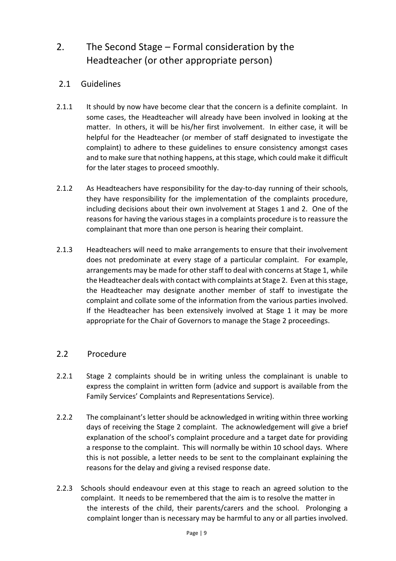## 2. The Second Stage – Formal consideration by the Headteacher (or other appropriate person)

#### 2.1 Guidelines

- 2.1.1 It should by now have become clear that the concern is a definite complaint. In some cases, the Headteacher will already have been involved in looking at the matter. In others, it will be his/her first involvement. In either case, it will be helpful for the Headteacher (or member of staff designated to investigate the complaint) to adhere to these guidelines to ensure consistency amongst cases and to make sure that nothing happens, at this stage, which could make it difficult for the later stages to proceed smoothly.
- 2.1.2 As Headteachers have responsibility for the day-to-day running of their schools, they have responsibility for the implementation of the complaints procedure, including decisions about their own involvement at Stages 1 and 2. One of the reasons for having the various stages in a complaints procedure is to reassure the complainant that more than one person is hearing their complaint.
- 2.1.3 Headteachers will need to make arrangements to ensure that their involvement does not predominate at every stage of a particular complaint. For example, arrangements may be made for other staff to deal with concerns at Stage 1, while the Headteacher deals with contact with complaints at Stage 2. Even at this stage, the Headteacher may designate another member of staff to investigate the complaint and collate some of the information from the various parties involved. If the Headteacher has been extensively involved at Stage 1 it may be more appropriate for the Chair of Governors to manage the Stage 2 proceedings.

#### 2.2 Procedure

- 2.2.1 Stage 2 complaints should be in writing unless the complainant is unable to express the complaint in written form (advice and support is available from the Family Services' Complaints and Representations Service).
- 2.2.2 The complainant's letter should be acknowledged in writing within three working days of receiving the Stage 2 complaint. The acknowledgement will give a brief explanation of the school's complaint procedure and a target date for providing a response to the complaint. This will normally be within 10 school days. Where this is not possible, a letter needs to be sent to the complainant explaining the reasons for the delay and giving a revised response date.
- 2.2.3 Schools should endeavour even at this stage to reach an agreed solution to the complaint. It needs to be remembered that the aim is to resolve the matter in the interests of the child, their parents/carers and the school. Prolonging a complaint longer than is necessary may be harmful to any or all parties involved.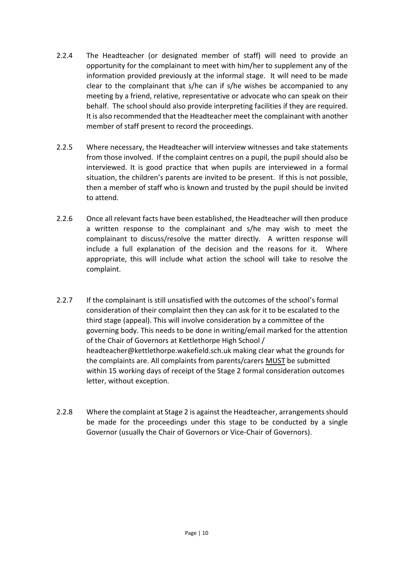- 2.2.4 The Headteacher (or designated member of staff) will need to provide an opportunity for the complainant to meet with him/her to supplement any of the information provided previously at the informal stage. It will need to be made clear to the complainant that s/he can if s/he wishes be accompanied to any meeting by a friend, relative, representative or advocate who can speak on their behalf. The school should also provide interpreting facilities if they are required. It is also recommended that the Headteacher meet the complainant with another member of staff present to record the proceedings.
- 2.2.5 Where necessary, the Headteacher will interview witnesses and take statements from those involved. If the complaint centres on a pupil, the pupil should also be interviewed. It is good practice that when pupils are interviewed in a formal situation, the children's parents are invited to be present. If this is not possible, then a member of staff who is known and trusted by the pupil should be invited to attend.
- 2.2.6 Once all relevant facts have been established, the Headteacher will then produce a written response to the complainant and s/he may wish to meet the complainant to discuss/resolve the matter directly. A written response will include a full explanation of the decision and the reasons for it. Where appropriate, this will include what action the school will take to resolve the complaint.
- 2.2.7 If the complainant is still unsatisfied with the outcomes of the school's formal consideration of their complaint then they can ask for it to be escalated to the third stage (appeal). This will involve consideration by a committee of the governing body. This needs to be done in writing/email marked for the attention of the Chair of Governors at Kettlethorpe High School / headteacher@kettlethorpe.wakefield.sch.uk making clear what the grounds for the complaints are. All complaints from parents/carers MUST be submitted within 15 working days of receipt of the Stage 2 formal consideration outcomes letter, without exception.
- 2.2.8 Where the complaint at Stage 2 is against the Headteacher, arrangements should be made for the proceedings under this stage to be conducted by a single Governor (usually the Chair of Governors or Vice-Chair of Governors).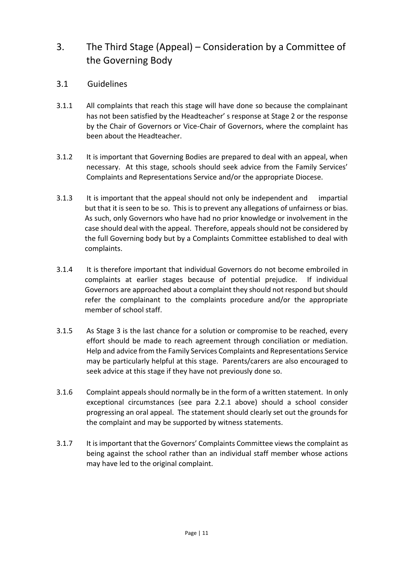## 3. The Third Stage (Appeal) – Consideration by a Committee of the Governing Body

- 3.1 Guidelines
- 3.1.1 All complaints that reach this stage will have done so because the complainant has not been satisfied by the Headteacher' s response at Stage 2 or the response by the Chair of Governors or Vice-Chair of Governors, where the complaint has been about the Headteacher.
- 3.1.2 It is important that Governing Bodies are prepared to deal with an appeal, when necessary. At this stage, schools should seek advice from the Family Services' Complaints and Representations Service and/or the appropriate Diocese.
- 3.1.3 It is important that the appeal should not only be independent and impartial but that it is seen to be so. This is to prevent any allegations of unfairness or bias. As such, only Governors who have had no prior knowledge or involvement in the case should deal with the appeal. Therefore, appeals should not be considered by the full Governing body but by a Complaints Committee established to deal with complaints.
- 3.1.4 It is therefore important that individual Governors do not become embroiled in complaints at earlier stages because of potential prejudice. If individual Governors are approached about a complaint they should not respond but should refer the complainant to the complaints procedure and/or the appropriate member of school staff.
- 3.1.5 As Stage 3 is the last chance for a solution or compromise to be reached, every effort should be made to reach agreement through conciliation or mediation. Help and advice from the Family Services Complaints and Representations Service may be particularly helpful at this stage. Parents/carers are also encouraged to seek advice at this stage if they have not previously done so.
- 3.1.6 Complaint appeals should normally be in the form of a written statement. In only exceptional circumstances (see para 2.2.1 above) should a school consider progressing an oral appeal. The statement should clearly set out the grounds for the complaint and may be supported by witness statements.
- 3.1.7 It is important that the Governors' Complaints Committee views the complaint as being against the school rather than an individual staff member whose actions may have led to the original complaint.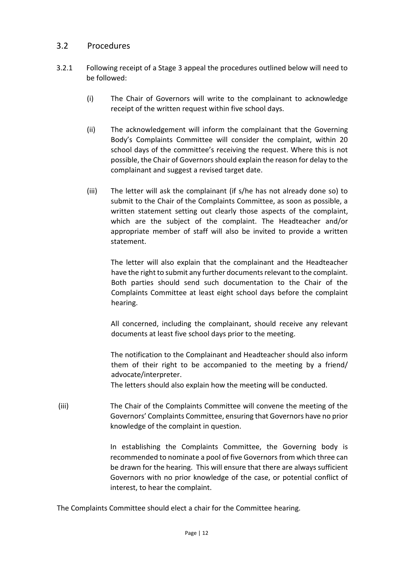#### 3.2 Procedures

- 3.2.1 Following receipt of a Stage 3 appeal the procedures outlined below will need to be followed:
	- (i) The Chair of Governors will write to the complainant to acknowledge receipt of the written request within five school days.
	- (ii) The acknowledgement will inform the complainant that the Governing Body's Complaints Committee will consider the complaint, within 20 school days of the committee's receiving the request. Where this is not possible, the Chair of Governors should explain the reason for delay to the complainant and suggest a revised target date.
	- (iii) The letter will ask the complainant (if s/he has not already done so) to submit to the Chair of the Complaints Committee, as soon as possible, a written statement setting out clearly those aspects of the complaint, which are the subject of the complaint. The Headteacher and/or appropriate member of staff will also be invited to provide a written statement.

The letter will also explain that the complainant and the Headteacher have the right to submit any further documents relevant to the complaint. Both parties should send such documentation to the Chair of the Complaints Committee at least eight school days before the complaint hearing.

All concerned, including the complainant, should receive any relevant documents at least five school days prior to the meeting.

The notification to the Complainant and Headteacher should also inform them of their right to be accompanied to the meeting by a friend/ advocate/interpreter.

The letters should also explain how the meeting will be conducted.

(iii) The Chair of the Complaints Committee will convene the meeting of the Governors' Complaints Committee, ensuring that Governors have no prior knowledge of the complaint in question.

> In establishing the Complaints Committee, the Governing body is recommended to nominate a pool of five Governors from which three can be drawn for the hearing. This will ensure that there are always sufficient Governors with no prior knowledge of the case, or potential conflict of interest, to hear the complaint.

The Complaints Committee should elect a chair for the Committee hearing.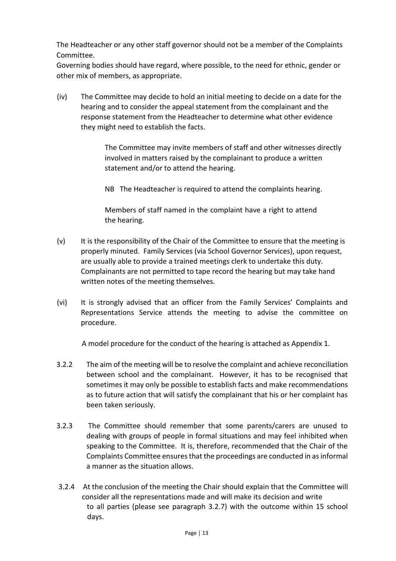The Headteacher or any other staff governor should not be a member of the Complaints Committee.

Governing bodies should have regard, where possible, to the need for ethnic, gender or other mix of members, as appropriate.

(iv) The Committee may decide to hold an initial meeting to decide on a date for the hearing and to consider the appeal statement from the complainant and the response statement from the Headteacher to determine what other evidence they might need to establish the facts.

> The Committee may invite members of staff and other witnesses directly involved in matters raised by the complainant to produce a written statement and/or to attend the hearing.

NB The Headteacher is required to attend the complaints hearing.

Members of staff named in the complaint have a right to attend the hearing.

- (v) It is the responsibility of the Chair of the Committee to ensure that the meeting is properly minuted. Family Services (via School Governor Services), upon request, are usually able to provide a trained meetings clerk to undertake this duty. Complainants are not permitted to tape record the hearing but may take hand written notes of the meeting themselves.
- (vi) It is strongly advised that an officer from the Family Services' Complaints and Representations Service attends the meeting to advise the committee on procedure.

A model procedure for the conduct of the hearing is attached as Appendix 1.

- 3.2.2 The aim of the meeting will be to resolve the complaint and achieve reconciliation between school and the complainant. However, it has to be recognised that sometimes it may only be possible to establish facts and make recommendations as to future action that will satisfy the complainant that his or her complaint has been taken seriously.
- 3.2.3 The Committee should remember that some parents/carers are unused to dealing with groups of people in formal situations and may feel inhibited when speaking to the Committee. It is, therefore, recommended that the Chair of the Complaints Committee ensures that the proceedings are conducted in as informal a manner as the situation allows.
- 3.2.4 At the conclusion of the meeting the Chair should explain that the Committee will consider all the representations made and will make its decision and write to all parties (please see paragraph 3.2.7) with the outcome within 15 school days.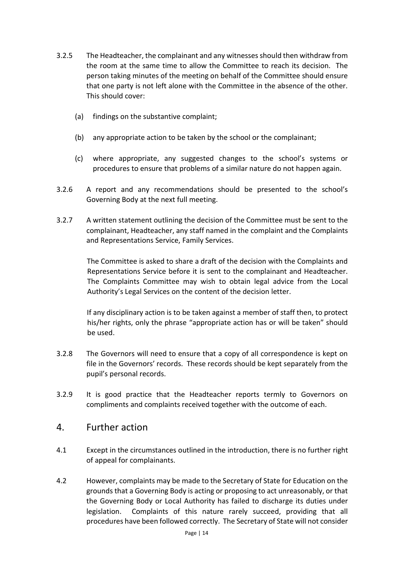- 3.2.5 The Headteacher, the complainant and any witnesses should then withdraw from the room at the same time to allow the Committee to reach its decision. The person taking minutes of the meeting on behalf of the Committee should ensure that one party is not left alone with the Committee in the absence of the other. This should cover:
	- (a) findings on the substantive complaint;
	- (b) any appropriate action to be taken by the school or the complainant;
	- (c) where appropriate, any suggested changes to the school's systems or procedures to ensure that problems of a similar nature do not happen again.
- 3.2.6 A report and any recommendations should be presented to the school's Governing Body at the next full meeting.
- 3.2.7 A written statement outlining the decision of the Committee must be sent to the complainant, Headteacher, any staff named in the complaint and the Complaints and Representations Service, Family Services.

The Committee is asked to share a draft of the decision with the Complaints and Representations Service before it is sent to the complainant and Headteacher. The Complaints Committee may wish to obtain legal advice from the Local Authority's Legal Services on the content of the decision letter.

If any disciplinary action is to be taken against a member of staff then, to protect his/her rights, only the phrase "appropriate action has or will be taken" should be used.

- 3.2.8 The Governors will need to ensure that a copy of all correspondence is kept on file in the Governors' records. These records should be kept separately from the pupil's personal records.
- 3.2.9 It is good practice that the Headteacher reports termly to Governors on compliments and complaints received together with the outcome of each.

#### 4. Further action

- 4.1 Except in the circumstances outlined in the introduction, there is no further right of appeal for complainants.
- 4.2 However, complaints may be made to the Secretary of State for Education on the grounds that a Governing Body is acting or proposing to act unreasonably, or that the Governing Body or Local Authority has failed to discharge its duties under legislation. Complaints of this nature rarely succeed, providing that all procedures have been followed correctly. The Secretary of State will not consider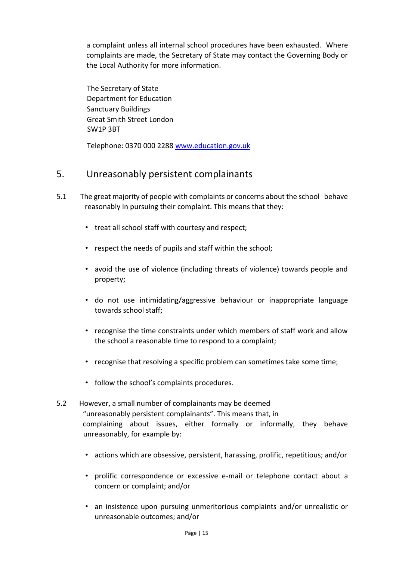a complaint unless all internal school procedures have been exhausted. Where complaints are made, the Secretary of State may contact the Governing Body or the Local Authority for more information.

The Secretary of State Department for Education Sanctuary Buildings Great Smith Street London SW1P 3BT

Telephone: 0370 000 2288 www.education.gov.uk

## 5. Unreasonably persistent complainants

- 5.1 The great majority of people with complaints or concerns about the school behave reasonably in pursuing their complaint. This means that they:
	- treat all school staff with courtesy and respect;
	- respect the needs of pupils and staff within the school;
	- avoid the use of violence (including threats of violence) towards people and property;
	- do not use intimidating/aggressive behaviour or inappropriate language towards school staff;
	- recognise the time constraints under which members of staff work and allow the school a reasonable time to respond to a complaint;
	- recognise that resolving a specific problem can sometimes take some time;
	- follow the school's complaints procedures.
- 5.2 However, a small number of complainants may be deemed "unreasonably persistent complainants". This means that, in complaining about issues, either formally or informally, they behave unreasonably, for example by:
	- actions which are obsessive, persistent, harassing, prolific, repetitious; and/or
	- prolific correspondence or excessive e-mail or telephone contact about a concern or complaint; and/or
	- an insistence upon pursuing unmeritorious complaints and/or unrealistic or unreasonable outcomes; and/or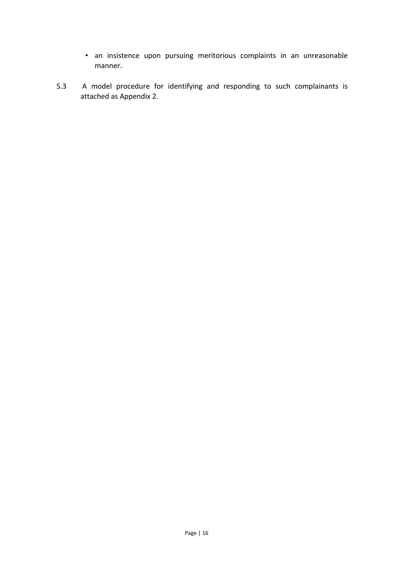- an insistence upon pursuing meritorious complaints in an unreasonable manner.
- 5.3 A model procedure for identifying and responding to such complainants is attached as Appendix 2.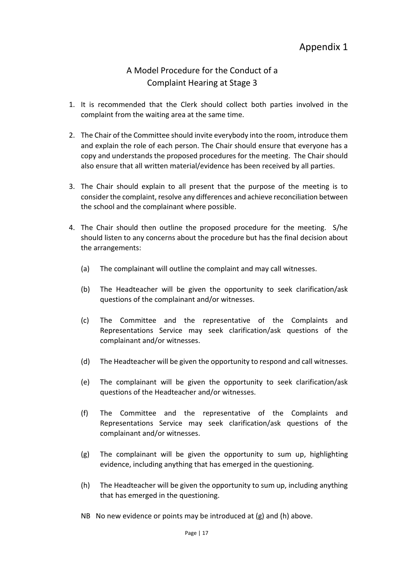## A Model Procedure for the Conduct of a Complaint Hearing at Stage 3

- 1. It is recommended that the Clerk should collect both parties involved in the complaint from the waiting area at the same time.
- 2. The Chair of the Committee should invite everybody into the room, introduce them and explain the role of each person. The Chair should ensure that everyone has a copy and understands the proposed procedures for the meeting. The Chair should also ensure that all written material/evidence has been received by all parties.
- 3. The Chair should explain to all present that the purpose of the meeting is to consider the complaint, resolve any differences and achieve reconciliation between the school and the complainant where possible.
- 4. The Chair should then outline the proposed procedure for the meeting. S/he should listen to any concerns about the procedure but has the final decision about the arrangements:
	- (a) The complainant will outline the complaint and may call witnesses.
	- (b) The Headteacher will be given the opportunity to seek clarification/ask questions of the complainant and/or witnesses.
	- (c) The Committee and the representative of the Complaints and Representations Service may seek clarification/ask questions of the complainant and/or witnesses.
	- (d) The Headteacher will be given the opportunity to respond and call witnesses.
	- (e) The complainant will be given the opportunity to seek clarification/ask questions of the Headteacher and/or witnesses.
	- (f) The Committee and the representative of the Complaints and Representations Service may seek clarification/ask questions of the complainant and/or witnesses.
	- (g) The complainant will be given the opportunity to sum up, highlighting evidence, including anything that has emerged in the questioning.
	- (h) The Headteacher will be given the opportunity to sum up, including anything that has emerged in the questioning.
	- NB No new evidence or points may be introduced at (g) and (h) above.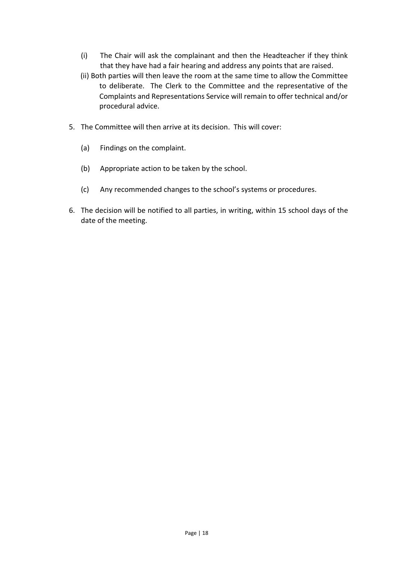- (i) The Chair will ask the complainant and then the Headteacher if they think that they have had a fair hearing and address any points that are raised.
- (ii) Both parties will then leave the room at the same time to allow the Committee to deliberate. The Clerk to the Committee and the representative of the Complaints and Representations Service will remain to offer technical and/or procedural advice.
- 5. The Committee will then arrive at its decision. This will cover:
	- (a) Findings on the complaint.
	- (b) Appropriate action to be taken by the school.
	- (c) Any recommended changes to the school's systems or procedures.
- 6. The decision will be notified to all parties, in writing, within 15 school days of the date of the meeting.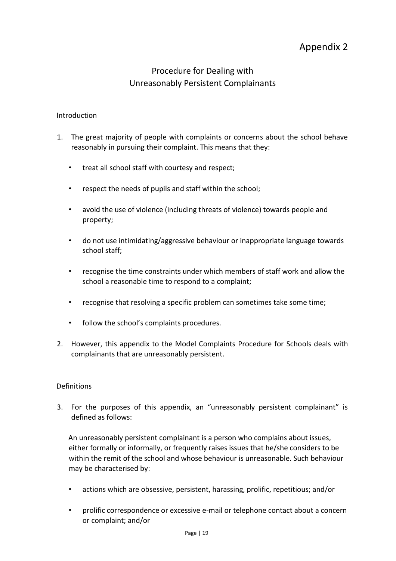## Appendix 2

## Procedure for Dealing with Unreasonably Persistent Complainants

#### Introduction

- 1. The great majority of people with complaints or concerns about the school behave reasonably in pursuing their complaint. This means that they:
	- treat all school staff with courtesy and respect;
	- respect the needs of pupils and staff within the school;
	- avoid the use of violence (including threats of violence) towards people and property;
	- do not use intimidating/aggressive behaviour or inappropriate language towards school staff;
	- recognise the time constraints under which members of staff work and allow the school a reasonable time to respond to a complaint;
	- recognise that resolving a specific problem can sometimes take some time;
	- follow the school's complaints procedures.
- 2. However, this appendix to the Model Complaints Procedure for Schools deals with complainants that are unreasonably persistent.

#### Definitions

3. For the purposes of this appendix, an "unreasonably persistent complainant" is defined as follows:

An unreasonably persistent complainant is a person who complains about issues, either formally or informally, or frequently raises issues that he/she considers to be within the remit of the school and whose behaviour is unreasonable. Such behaviour may be characterised by:

- actions which are obsessive, persistent, harassing, prolific, repetitious; and/or
- prolific correspondence or excessive e-mail or telephone contact about a concern or complaint; and/or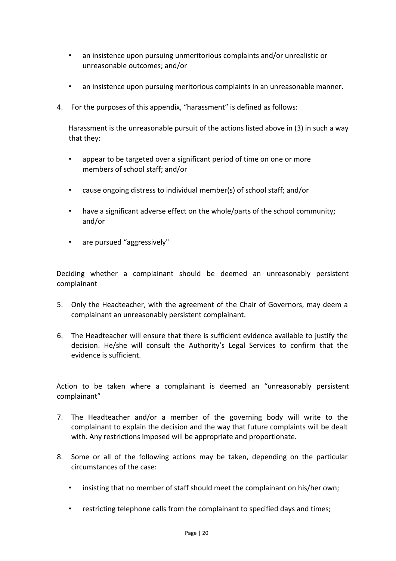- an insistence upon pursuing unmeritorious complaints and/or unrealistic or unreasonable outcomes; and/or
- an insistence upon pursuing meritorious complaints in an unreasonable manner.
- 4. For the purposes of this appendix, "harassment" is defined as follows:

Harassment is the unreasonable pursuit of the actions listed above in (3) in such a way that they:

- appear to be targeted over a significant period of time on one or more members of school staff; and/or
- cause ongoing distress to individual member(s) of school staff; and/or
- have a significant adverse effect on the whole/parts of the school community; and/or
- are pursued "aggressively"

Deciding whether a complainant should be deemed an unreasonably persistent complainant

- 5. Only the Headteacher, with the agreement of the Chair of Governors, may deem a complainant an unreasonably persistent complainant.
- 6. The Headteacher will ensure that there is sufficient evidence available to justify the decision. He/she will consult the Authority's Legal Services to confirm that the evidence is sufficient.

Action to be taken where a complainant is deemed an "unreasonably persistent complainant"

- 7. The Headteacher and/or a member of the governing body will write to the complainant to explain the decision and the way that future complaints will be dealt with. Any restrictions imposed will be appropriate and proportionate.
- 8. Some or all of the following actions may be taken, depending on the particular circumstances of the case:
	- insisting that no member of staff should meet the complainant on his/her own;
	- restricting telephone calls from the complainant to specified days and times;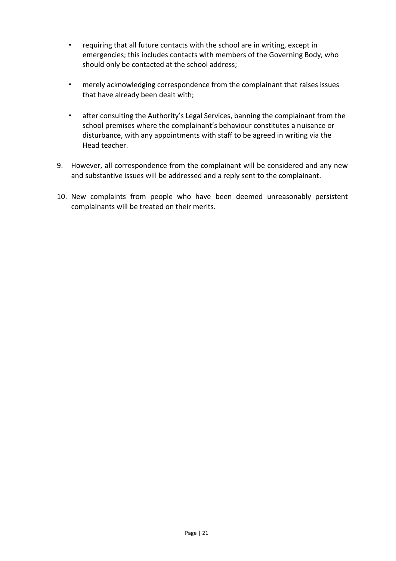- requiring that all future contacts with the school are in writing, except in emergencies; this includes contacts with members of the Governing Body, who should only be contacted at the school address;
- merely acknowledging correspondence from the complainant that raises issues that have already been dealt with;
- after consulting the Authority's Legal Services, banning the complainant from the school premises where the complainant's behaviour constitutes a nuisance or disturbance, with any appointments with staff to be agreed in writing via the Head teacher.
- 9. However, all correspondence from the complainant will be considered and any new and substantive issues will be addressed and a reply sent to the complainant.
- 10. New complaints from people who have been deemed unreasonably persistent complainants will be treated on their merits.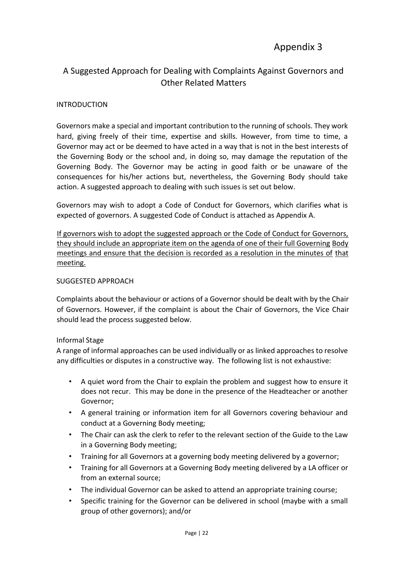## Appendix 3

## A Suggested Approach for Dealing with Complaints Against Governors and Other Related Matters

#### **INTRODUCTION**

Governors make a special and important contribution to the running of schools. They work hard, giving freely of their time, expertise and skills. However, from time to time, a Governor may act or be deemed to have acted in a way that is not in the best interests of the Governing Body or the school and, in doing so, may damage the reputation of the Governing Body. The Governor may be acting in good faith or be unaware of the consequences for his/her actions but, nevertheless, the Governing Body should take action. A suggested approach to dealing with such issues is set out below.

Governors may wish to adopt a Code of Conduct for Governors, which clarifies what is expected of governors. A suggested Code of Conduct is attached as Appendix A.

If governors wish to adopt the suggested approach or the Code of Conduct for Governors, they should include an appropriate item on the agenda of one of their full Governing Body meetings and ensure that the decision is recorded as a resolution in the minutes of that meeting.

#### SUGGESTED APPROACH

Complaints about the behaviour or actions of a Governor should be dealt with by the Chair of Governors. However, if the complaint is about the Chair of Governors, the Vice Chair should lead the process suggested below.

#### Informal Stage

A range of informal approaches can be used individually or as linked approaches to resolve any difficulties or disputes in a constructive way. The following list is not exhaustive:

- A quiet word from the Chair to explain the problem and suggest how to ensure it does not recur. This may be done in the presence of the Headteacher or another Governor;
- A general training or information item for all Governors covering behaviour and conduct at a Governing Body meeting;
- The Chair can ask the clerk to refer to the relevant section of the Guide to the Law in a Governing Body meeting;
- Training for all Governors at a governing body meeting delivered by a governor;
- Training for all Governors at a Governing Body meeting delivered by a LA officer or from an external source;
- The individual Governor can be asked to attend an appropriate training course;
- Specific training for the Governor can be delivered in school (maybe with a small group of other governors); and/or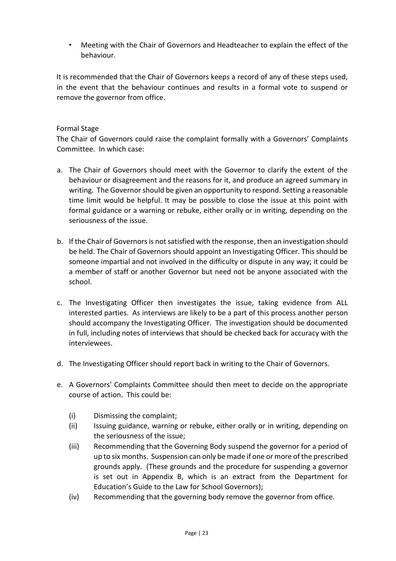• Meeting with the Chair of Governors and Headteacher to explain the effect of the behaviour.

It is recommended that the Chair of Governors keeps a record of any of these steps used, in the event that the behaviour continues and results in a formal vote to suspend or remove the governor from office.

#### Formal Stage

The Chair of Governors could raise the complaint formally with a Governors' Complaints Committee. In which case:

- a. The Chair of Governors should meet with the Governor to clarify the extent of the behaviour or disagreement and the reasons for it, and produce an agreed summary in writing. The Governor should be given an opportunity to respond. Setting a reasonable time limit would be helpful. It may be possible to close the issue at this point with formal guidance or a warning or rebuke, either orally or in writing, depending on the seriousness of the issue.
- b. If the Chair of Governors is not satisfied with the response, then an investigation should be held. The Chair of Governors should appoint an Investigating Officer. This should be someone impartial and not involved in the difficulty or dispute in any way; it could be a member of staff or another Governor but need not be anyone associated with the school.
- c. The Investigating Officer then investigates the issue, taking evidence from ALL interested parties. As interviews are likely to be a part of this process another person should accompany the Investigating Officer. The investigation should be documented in full, including notes of interviews that should be checked back for accuracy with the interviewees.
- d. The Investigating Officer should report back in writing to the Chair of Governors.
- e. A Governors' Complaints Committee should then meet to decide on the appropriate course of action. This could be:
	- (i) Dismissing the complaint;
	- (ii) Issuing guidance, warning or rebuke, either orally or in writing, depending on the seriousness of the issue;
	- (iii) Recommending that the Governing Body suspend the governor for a period of up to six months. Suspension can only be made if one or more of the prescribed grounds apply. (These grounds and the procedure for suspending a governor is set out in Appendix B, which is an extract from the Department for Education's Guide to the Law for School Governors);
	- (iv) Recommending that the governing body remove the governor from office.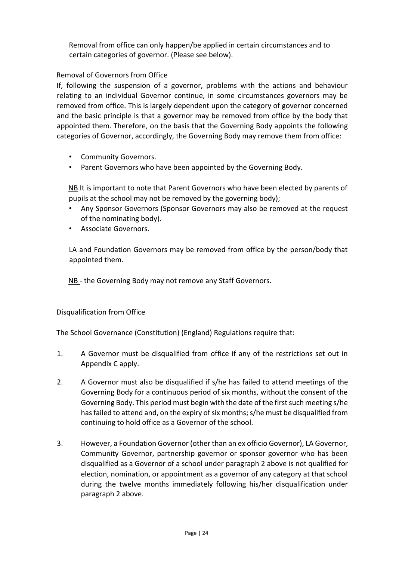Removal from office can only happen/be applied in certain circumstances and to certain categories of governor. (Please see below).

#### Removal of Governors from Office

If, following the suspension of a governor, problems with the actions and behaviour relating to an individual Governor continue, in some circumstances governors may be removed from office. This is largely dependent upon the category of governor concerned and the basic principle is that a governor may be removed from office by the body that appointed them. Therefore, on the basis that the Governing Body appoints the following categories of Governor, accordingly, the Governing Body may remove them from office:

- Community Governors.
- Parent Governors who have been appointed by the Governing Body.

NB It is important to note that Parent Governors who have been elected by parents of pupils at the school may not be removed by the governing body);

- Any Sponsor Governors (Sponsor Governors may also be removed at the request of the nominating body).
- Associate Governors.

LA and Foundation Governors may be removed from office by the person/body that appointed them.

NB - the Governing Body may not remove any Staff Governors.

#### Disqualification from Office

The School Governance (Constitution) (England) Regulations require that:

- 1. A Governor must be disqualified from office if any of the restrictions set out in Appendix C apply.
- 2. A Governor must also be disqualified if s/he has failed to attend meetings of the Governing Body for a continuous period of six months, without the consent of the Governing Body. This period must begin with the date of the first such meeting s/he has failed to attend and, on the expiry of six months; s/he must be disqualified from continuing to hold office as a Governor of the school.
- 3. However, a Foundation Governor (other than an ex officio Governor), LA Governor, Community Governor, partnership governor or sponsor governor who has been disqualified as a Governor of a school under paragraph 2 above is not qualified for election, nomination, or appointment as a governor of any category at that school during the twelve months immediately following his/her disqualification under paragraph 2 above.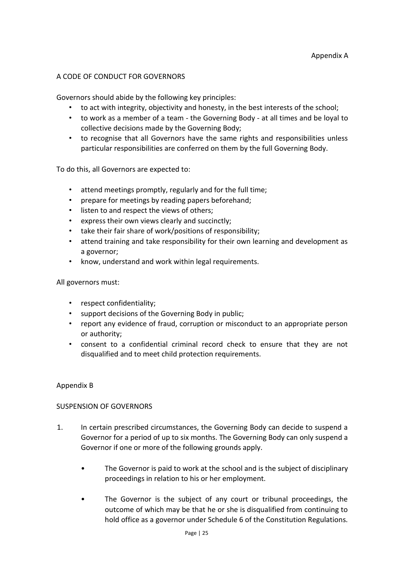#### A CODE OF CONDUCT FOR GOVERNORS

Governors should abide by the following key principles:

- to act with integrity, objectivity and honesty, in the best interests of the school;
- to work as a member of a team the Governing Body at all times and be loyal to collective decisions made by the Governing Body;
- to recognise that all Governors have the same rights and responsibilities unless particular responsibilities are conferred on them by the full Governing Body.

To do this, all Governors are expected to:

- attend meetings promptly, regularly and for the full time;
- prepare for meetings by reading papers beforehand;
- listen to and respect the views of others;
- express their own views clearly and succinctly;
- take their fair share of work/positions of responsibility;
- attend training and take responsibility for their own learning and development as a governor;
- know, understand and work within legal requirements.

All governors must:

- respect confidentiality;
- support decisions of the Governing Body in public;
- report any evidence of fraud, corruption or misconduct to an appropriate person or authority;
- consent to a confidential criminal record check to ensure that they are not disqualified and to meet child protection requirements.

#### Appendix B

#### SUSPENSION OF GOVERNORS

- 1. In certain prescribed circumstances, the Governing Body can decide to suspend a Governor for a period of up to six months. The Governing Body can only suspend a Governor if one or more of the following grounds apply.
	- The Governor is paid to work at the school and is the subject of disciplinary proceedings in relation to his or her employment.
	- The Governor is the subject of any court or tribunal proceedings, the outcome of which may be that he or she is disqualified from continuing to hold office as a governor under Schedule 6 of the Constitution Regulations.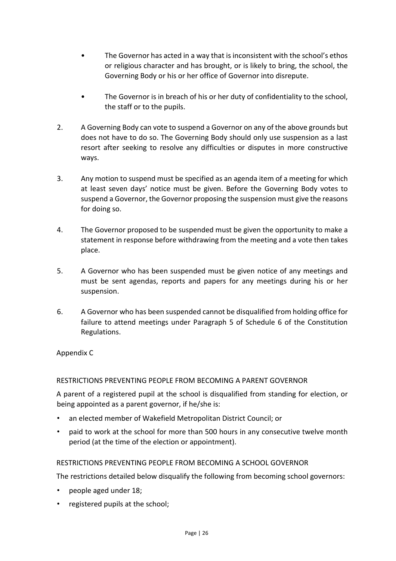- The Governor has acted in a way that is inconsistent with the school's ethos or religious character and has brought, or is likely to bring, the school, the Governing Body or his or her office of Governor into disrepute.
- The Governor is in breach of his or her duty of confidentiality to the school, the staff or to the pupils.
- 2. A Governing Body can vote to suspend a Governor on any of the above grounds but does not have to do so. The Governing Body should only use suspension as a last resort after seeking to resolve any difficulties or disputes in more constructive ways.
- 3. Any motion to suspend must be specified as an agenda item of a meeting for which at least seven days' notice must be given. Before the Governing Body votes to suspend a Governor, the Governor proposing the suspension must give the reasons for doing so.
- 4. The Governor proposed to be suspended must be given the opportunity to make a statement in response before withdrawing from the meeting and a vote then takes place.
- 5. A Governor who has been suspended must be given notice of any meetings and must be sent agendas, reports and papers for any meetings during his or her suspension.
- 6. A Governor who has been suspended cannot be disqualified from holding office for failure to attend meetings under Paragraph 5 of Schedule 6 of the Constitution Regulations.

#### Appendix C

#### RESTRICTIONS PREVENTING PEOPLE FROM BECOMING A PARENT GOVERNOR

A parent of a registered pupil at the school is disqualified from standing for election, or being appointed as a parent governor, if he/she is:

- an elected member of Wakefield Metropolitan District Council; or
- paid to work at the school for more than 500 hours in any consecutive twelve month period (at the time of the election or appointment).

#### RESTRICTIONS PREVENTING PEOPLE FROM BECOMING A SCHOOL GOVERNOR

The restrictions detailed below disqualify the following from becoming school governors:

- people aged under 18;
- registered pupils at the school;